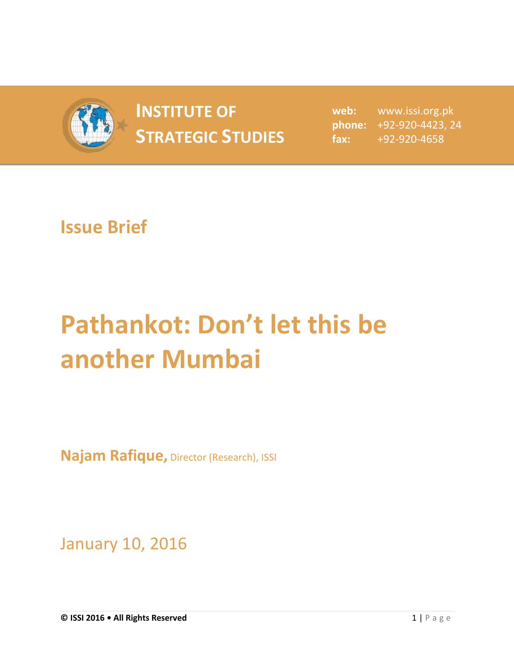

## **INSTITUTE OF STRATEGIC STUDIES**  $_{\text{fax:}}$

**web:** www.issi.org.pk **phone:** +92-920-4423, 24 **fax:** +92-920-4658

## **Issue Brief**

## **Pathankot: Don't let this be another Mumbai**

**Najam Rafique,** Director (Research), ISSI

January 10, 2016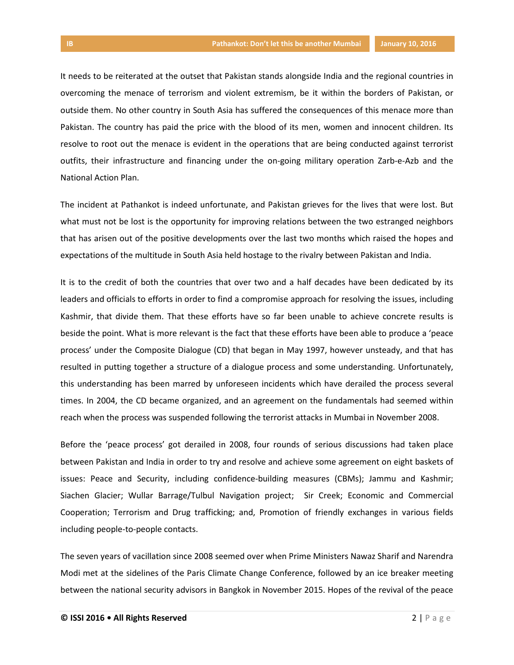It needs to be reiterated at the outset that Pakistan stands alongside India and the regional countries in overcoming the menace of terrorism and violent extremism, be it within the borders of Pakistan, or outside them. No other country in South Asia has suffered the consequences of this menace more than Pakistan. The country has paid the price with the blood of its men, women and innocent children. Its

resolve to root out the menace is evident in the operations that are being conducted against terrorist outfits, their infrastructure and financing under the on-going military operation Zarb-e-Azb and the National Action Plan.

The incident at Pathankot is indeed unfortunate, and Pakistan grieves for the lives that were lost. But what must not be lost is the opportunity for improving relations between the two estranged neighbors that has arisen out of the positive developments over the last two months which raised the hopes and expectations of the multitude in South Asia held hostage to the rivalry between Pakistan and India.

It is to the credit of both the countries that over two and a half decades have been dedicated by its leaders and officials to efforts in order to find a compromise approach for resolving the issues, including Kashmir, that divide them. That these efforts have so far been unable to achieve concrete results is beside the point. What is more relevant is the fact that these efforts have been able to produce a 'peace process' under the Composite Dialogue (CD) that began in May 1997, however unsteady, and that has resulted in putting together a structure of a dialogue process and some understanding. Unfortunately, this understanding has been marred by unforeseen incidents which have derailed the process several times. In 2004, the CD became organized, and an agreement on the fundamentals had seemed within reach when the process was suspended following the terrorist attacks in Mumbai in November 2008.

Before the 'peace process' got derailed in 2008, four rounds of serious discussions had taken place between Pakistan and India in order to try and resolve and achieve some agreement on eight baskets of issues: Peace and Security, including confidence-building measures (CBMs); Jammu and Kashmir; Siachen Glacier; Wullar Barrage/Tulbul Navigation project; Sir Creek; Economic and Commercial Cooperation; Terrorism and Drug trafficking; and, Promotion of friendly exchanges in various fields including people-to-people contacts.

The seven years of vacillation since 2008 seemed over when Prime Ministers Nawaz Sharif and Narendra Modi met at the sidelines of the Paris Climate Change Conference, followed by an ice breaker meeting between the national security advisors in Bangkok in November 2015. Hopes of the revival of the peace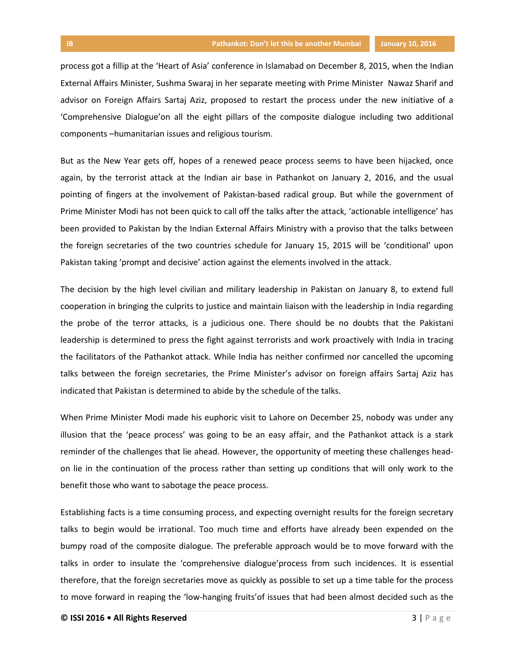process got a fillip at the 'Heart of Asia' conference in Islamabad on December 8, 2015, when the Indian External Affairs Minister, Sushma Swaraj in her separate meeting with Prime Minister Nawaz Sharif and advisor on Foreign Affairs Sartaj Aziz, proposed to restart the process under the new initiative of a 'Comprehensive Dialogue'on all the eight pillars of the composite dialogue including two additional components –humanitarian issues and religious tourism.

But as the New Year gets off, hopes of a renewed peace process seems to have been hijacked, once again, by the terrorist attack at the Indian air base in Pathankot on January 2, 2016, and the usual pointing of fingers at the involvement of Pakistan-based radical group. But while the government of Prime Minister Modi has not been quick to call off the talks after the attack, 'actionable intelligence' has been provided to Pakistan by the Indian External Affairs Ministry with a proviso that the talks between the foreign secretaries of the two countries schedule for January 15, 2015 will be 'conditional' upon Pakistan taking 'prompt and decisive' action against the elements involved in the attack.

The decision by the high level civilian and military leadership in Pakistan on January 8, to extend full cooperation in bringing the culprits to justice and maintain liaison with the leadership in India regarding the probe of the terror attacks, is a judicious one. There should be no doubts that the Pakistani leadership is determined to press the fight against terrorists and work proactively with India in tracing the facilitators of the Pathankot attack. While India has neither confirmed nor cancelled the upcoming talks between the foreign secretaries, the Prime Minister's advisor on foreign affairs Sartaj Aziz has indicated that Pakistan is determined to abide by the schedule of the talks.

When Prime Minister Modi made his euphoric visit to Lahore on December 25, nobody was under any illusion that the 'peace process' was going to be an easy affair, and the Pathankot attack is a stark reminder of the challenges that lie ahead. However, the opportunity of meeting these challenges headon lie in the continuation of the process rather than setting up conditions that will only work to the benefit those who want to sabotage the peace process.

Establishing facts is a time consuming process, and expecting overnight results for the foreign secretary talks to begin would be irrational. Too much time and efforts have already been expended on the bumpy road of the composite dialogue. The preferable approach would be to move forward with the talks in order to insulate the 'comprehensive dialogue'process from such incidences. It is essential therefore, that the foreign secretaries move as quickly as possible to set up a time table for the process to move forward in reaping the 'low-hanging fruits'of issues that had been almost decided such as the